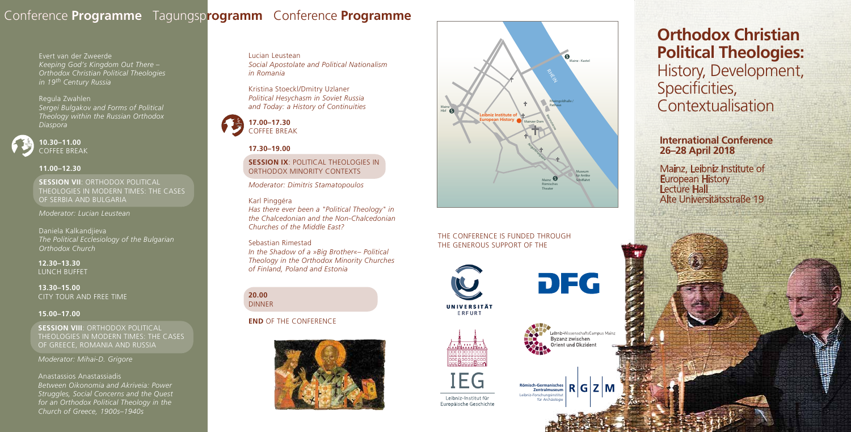Evert van der Zweerde *Keeping God's Kingdom Out There – Orthodox Christian Political Theologies in 19th Century Russia* 

Regula Zwahlen *Sergei Bulgakov and Forms of Political Theology within the Russian Orthodox Diaspora* 



#### **11.00–12.30**

**SESSION VII**: ORTHODOX POLITICAL THEOLOGIES IN MODERN TIMES: THE CASES OF SERBIA AND BULGARIA

**SESSION VIII**: ORTHODOX POLITICAL THEOLOGIES IN MODERN TIMES: THE CASES OF GREECE, ROMANIA AND RUSSIA

*Moderator: Lucian Leustean*

Daniela Kalkandjieva *The Political Ecclesiology of the Bulgarian Orthodox Church* 

**12.30–13.30**  LUNCH BUFFET

**13.30–15.00**  CITY TOUR AND FREE TIME

### **15.00–17.00**

### **SESSION IX: POLITICAL THEOLOGIES IN** ORTHODOX MINORITY CONTEXTS

*Moderator: Mihai-D. Grigore*

#### Anastassios Anastassiadis

*Between Oikonomia and Akriveia: Power Struggles, Social Concerns and the Quest for an Orthodox Political Theology in the Church of Greece, 1900s–1940s* 

#### THE CONFERENCE IS FUNDED THROUGH THE GENEROUS SUPPORT OF THE



IEG

Leibniz-Institut für Europäische Geschichte





# **Orthodox Christian Political Theologies:**  History, Development, Specificities, **Contextualisation**

Lucian Leustean *Social Apostolate and Political Nationalism in Romania* 

Kristina Stoeckl/Dmitry Uzlaner *Political Hesychasm in Soviet Russia and Today: a History of Continuities* 



# **17.30–19.00**

*Moderator: Dimitris Stamatopoulos*

#### Karl Pinggéra

*Has there ever been a "Political Theology" in the Chalcedonian and the Non-Chalcedonian Churches of the Middle East?*

#### Sebastian Rimestad

*In the Shadow of a »Big Brother«– Political Theology in the Orthodox Minority Churches of Finland, Poland and Estonia*

#### **20.00**  DINNER

### **END** OF THE CONFERENCE



## Conference **Programme** Tagungsp **rogramm** Conference **Programme**

## Mainz Hbf Mainz - Kastel Mainz Römisches Theater Rheingoldhalle / Rathaus Mainzer Dom Augustinergasse Rheinstrasse Museum für Antike Schiffahrt **Leibniz Institute of European History**



**International Conference 26–28 April 2018**

Mainz, Leibniz Institute of European History<br>Lecture Hall Alte Universitätsstraße 19